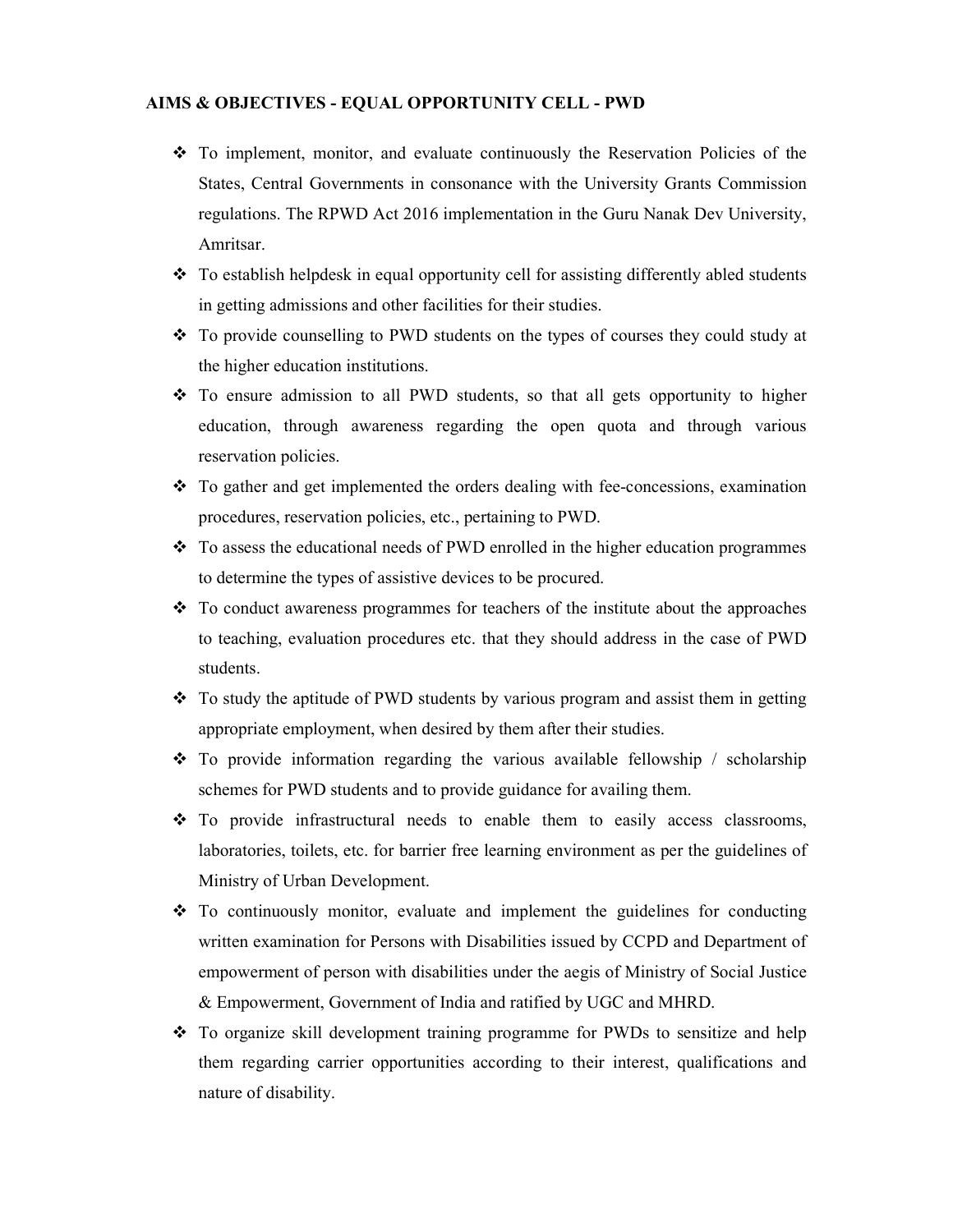## AIMS & OBJECTIVES - EQUAL OPPORTUNITY CELL - PWD

- To implement, monitor, and evaluate continuously the Reservation Policies of the States, Central Governments in consonance with the University Grants Commission regulations. The RPWD Act 2016 implementation in the Guru Nanak Dev University, Amritsar.
- $\div$  To establish helpdesk in equal opportunity cell for assisting differently abled students in getting admissions and other facilities for their studies.
- To provide counselling to PWD students on the types of courses they could study at the higher education institutions.
- $\div$  To ensure admission to all PWD students, so that all gets opportunity to higher education, through awareness regarding the open quota and through various reservation policies.
- To gather and get implemented the orders dealing with fee-concessions, examination procedures, reservation policies, etc., pertaining to PWD.
- To assess the educational needs of PWD enrolled in the higher education programmes to determine the types of assistive devices to be procured.
- \* To conduct awareness programmes for teachers of the institute about the approaches to teaching, evaluation procedures etc. that they should address in the case of PWD students.
- To study the aptitude of PWD students by various program and assist them in getting appropriate employment, when desired by them after their studies.
- To provide information regarding the various available fellowship / scholarship schemes for PWD students and to provide guidance for availing them.
- \* To provide infrastructural needs to enable them to easily access classrooms, laboratories, toilets, etc. for barrier free learning environment as per the guidelines of Ministry of Urban Development.
- $\div$  To continuously monitor, evaluate and implement the guidelines for conducting written examination for Persons with Disabilities issued by CCPD and Department of empowerment of person with disabilities under the aegis of Ministry of Social Justice & Empowerment, Government of India and ratified by UGC and MHRD.
- \* To organize skill development training programme for PWDs to sensitize and help them regarding carrier opportunities according to their interest, qualifications and nature of disability.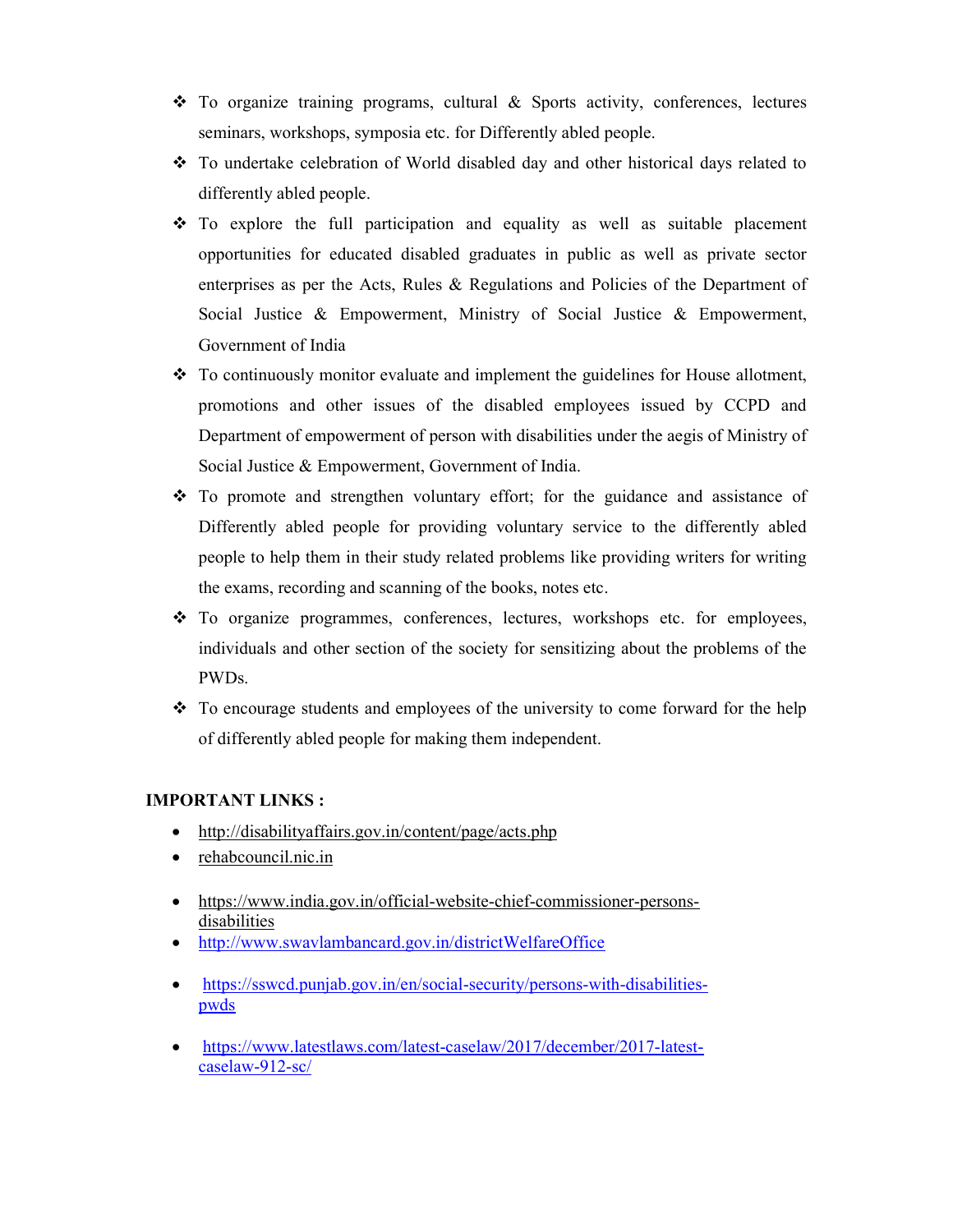- To organize training programs, cultural & Sports activity, conferences, lectures seminars, workshops, symposia etc. for Differently abled people.
- To undertake celebration of World disabled day and other historical days related to differently abled people.
- $\div$  To explore the full participation and equality as well as suitable placement opportunities for educated disabled graduates in public as well as private sector enterprises as per the Acts, Rules & Regulations and Policies of the Department of Social Justice & Empowerment, Ministry of Social Justice & Empowerment, Government of India
- To continuously monitor evaluate and implement the guidelines for House allotment, promotions and other issues of the disabled employees issued by CCPD and Department of empowerment of person with disabilities under the aegis of Ministry of Social Justice & Empowerment, Government of India.
- To promote and strengthen voluntary effort; for the guidance and assistance of Differently abled people for providing voluntary service to the differently abled people to help them in their study related problems like providing writers for writing the exams, recording and scanning of the books, notes etc.
- $\div$  To organize programmes, conferences, lectures, workshops etc. for employees, individuals and other section of the society for sensitizing about the problems of the PWDs.
- $\div$  To encourage students and employees of the university to come forward for the help of differently abled people for making them independent.

## IMPORTANT LINKS :

- http://disabilityaffairs.gov.in/content/page/acts.php
- rehabcouncil.nic.in
- https://www.india.gov.in/official-website-chief-commissioner-personsdisabilities
- http://www.swavlambancard.gov.in/districtWelfareOffice
- https://sswcd.punjab.gov.in/en/social-security/persons-with-disabilitiespwds
- https://www.latestlaws.com/latest-caselaw/2017/december/2017-latestcaselaw-912-sc/